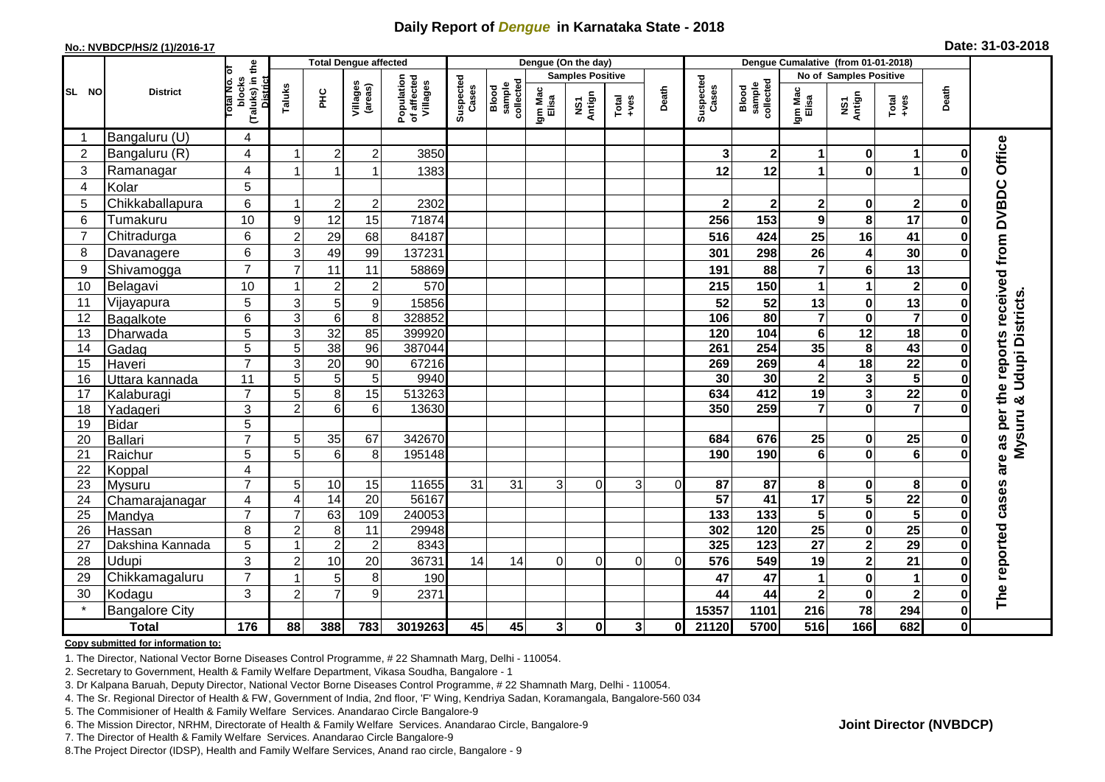## **Daily Report of** *Dengue* **in Karnataka State - 2018**

#### **No.: NVBDCP/HS/2 (1)/2016-17**

| Date: 31-03-2018 |  |  |  |  |
|------------------|--|--|--|--|
|------------------|--|--|--|--|

|                |                       |                                                    | <b>Total Dengue affected</b> |                 |                     |                                       |                    |                              |                  | Dengue (On the day)     |                                                              |          | Dengue Cumalative (from 01-01-2018) |                              |                         |                         |                         |              |                                            |
|----------------|-----------------------|----------------------------------------------------|------------------------------|-----------------|---------------------|---------------------------------------|--------------------|------------------------------|------------------|-------------------------|--------------------------------------------------------------|----------|-------------------------------------|------------------------------|-------------------------|-------------------------|-------------------------|--------------|--------------------------------------------|
|                | <b>District</b>       | ৳                                                  |                              |                 |                     |                                       |                    |                              |                  | <b>Samples Positive</b> |                                                              |          |                                     |                              |                         | No of Samples Positive  |                         |              |                                            |
| SL NO          |                       | (Taluks) in the<br>District<br>blocks<br>Total No. | Taluks                       | ΞÉ              | Villages<br>(areas) | Population<br>of affected<br>Villages | Suspected<br>Cases | sample<br>collected<br>Blood | Igm Mac<br>Elisa | NS1<br>Antign           | $\begin{array}{c}\n\text{Total} \\ \text{Area}\n\end{array}$ | Death    | Suspected<br>Cases                  | collected<br>Blood<br>sample | Igm Mac<br>Elisa        | NS1<br>Antign           | Total<br>+ves           | Death        |                                            |
| -1             | Bangaluru (U)         | 4                                                  |                              |                 |                     |                                       |                    |                              |                  |                         |                                                              |          |                                     |                              |                         |                         |                         |              |                                            |
| $\overline{2}$ | Bangaluru (R)         | 4                                                  |                              | $\overline{2}$  | $\mathbf 2$         | 3850                                  |                    |                              |                  |                         |                                                              |          | 3                                   | $\mathbf 2$                  | 1                       | $\bf{0}$                | $\blacktriangleleft$    | O            |                                            |
| 3              | Ramanagar             | $\overline{4}$                                     |                              |                 | 1                   | 1383                                  |                    |                              |                  |                         |                                                              |          | 12                                  | 12                           | $\blacktriangleleft$    | $\mathbf 0$             | 1                       |              | Office                                     |
| 4              | Kolar                 | 5                                                  |                              |                 |                     |                                       |                    |                              |                  |                         |                                                              |          |                                     |                              |                         |                         |                         |              |                                            |
| 5              | Chikkaballapura       | 6                                                  | -1                           | $\overline{2}$  | $\mathbf 2$         | 2302                                  |                    |                              |                  |                         |                                                              |          | $\mathbf{2}$                        | $\mathbf 2$                  | $\mathbf 2$             | 0                       | $\mathbf{2}$            | O            |                                            |
| 6              | Tumakuru              | 10                                                 | $\boldsymbol{9}$             | 12              | 15                  | 71874                                 |                    |                              |                  |                         |                                                              |          | 256                                 | 153                          | 9                       | 8                       | 17                      | O            |                                            |
| $\overline{7}$ | Chitradurga           | 6                                                  | $\overline{c}$               | 29              | 68                  | 84187                                 |                    |                              |                  |                         |                                                              |          | 516                                 | 424                          | 25                      | 16                      | 41                      | 0            |                                            |
| 8              | Davanagere            | 6                                                  | 3                            | 49              | 99                  | 137231                                |                    |                              |                  |                         |                                                              |          | 301                                 | 298                          | 26                      | 4                       | 30                      | በ            |                                            |
| 9              | Shivamogga            | $\overline{7}$                                     | $\overline{7}$               | 11              | 11                  | 58869                                 |                    |                              |                  |                         |                                                              |          | 191                                 | 88                           | $\overline{7}$          | 6                       | 13                      |              |                                            |
| 10             | Belagavi              | 10                                                 |                              | $\overline{2}$  | $\overline{c}$      | 570                                   |                    |                              |                  |                         |                                                              |          | 215                                 | 150                          | 1                       | 1                       | $\mathbf 2$             |              | are as per the reports received from DVBDC |
| 11             | Vijayapura            | 5                                                  | $\mathbf{3}$                 | $\overline{5}$  | 9                   | 15856                                 |                    |                              |                  |                         |                                                              |          | 52                                  | 52                           | 13                      | $\pmb{0}$               | $\overline{13}$         |              | & Udupi Districts                          |
| 12             | Bagalkote             | 6                                                  | $\overline{3}$               | $\overline{6}$  | $\overline{8}$      | 328852                                |                    |                              |                  |                         |                                                              |          | 106                                 | 80                           | $\overline{\mathbf{7}}$ | $\overline{\mathbf{0}}$ | $\overline{\mathbf{7}}$ | 0            |                                            |
| 13             | Dharwada              | 5                                                  | 3                            | 32              | 85                  | 399920                                |                    |                              |                  |                         |                                                              |          | 120                                 | 104                          | 6                       | $\overline{12}$         | 18                      |              |                                            |
| 14             | Gadag                 | 5                                                  | 5                            | 38              | 96                  | 387044                                |                    |                              |                  |                         |                                                              |          | 261                                 | 254                          | 35                      | 8                       | 43                      |              |                                            |
| 15             | Haveri                | $\overline{7}$                                     | 3                            | $\overline{20}$ | 90                  | 67216                                 |                    |                              |                  |                         |                                                              |          | 269                                 | 269                          | 4                       | $\overline{18}$         | $\overline{22}$         | Ω            |                                            |
| 16             | Uttara kannada        | 11                                                 | 5                            | 5               | 5                   | 9940                                  |                    |                              |                  |                         |                                                              |          | 30                                  | 30                           | $\mathbf 2$             | $\mathbf{3}$            | $\overline{\mathbf{5}}$ |              |                                            |
| 17             | Kalaburagi            | $\overline{7}$                                     | 5                            | 8               | $\overline{15}$     | 513263                                |                    |                              |                  |                         |                                                              |          | 634                                 | 412                          | 19                      | $\overline{\mathbf{3}}$ | $\overline{22}$         |              |                                            |
| 18             | Yadageri              | 3                                                  | $\overline{2}$               | 6               | 6                   | 13630                                 |                    |                              |                  |                         |                                                              |          | 350                                 | 259                          | $\overline{7}$          | $\mathbf 0$             | $\overline{\mathbf{z}}$ |              |                                            |
| 19             | <b>Bidar</b>          | 5                                                  |                              |                 |                     |                                       |                    |                              |                  |                         |                                                              |          |                                     |                              |                         |                         |                         |              |                                            |
| 20             | <b>Ballari</b>        | $\overline{7}$                                     | 5                            | 35              | 67                  | 342670                                |                    |                              |                  |                         |                                                              |          | 684                                 | 676                          | 25                      | 0                       | $\overline{25}$         |              | Mysuru                                     |
| 21             | Raichur               | 5                                                  | 5                            | 6               | 8                   | 195148                                |                    |                              |                  |                         |                                                              |          | 190                                 | 190                          | 6                       | $\bf{0}$                | $\overline{6}$          |              |                                            |
| 22             | Koppal                | 4                                                  |                              |                 |                     |                                       |                    |                              |                  |                         |                                                              |          |                                     |                              |                         |                         |                         |              |                                            |
| 23             | Mysuru                | $\overline{7}$                                     | 5                            | 10              | 15                  | 11655                                 | 31                 | 31                           | 3                | $\Omega$                | 3                                                            | $\Omega$ | 87                                  | 87                           | 8                       | 0                       | 8                       |              |                                            |
| 24             | Chamarajanagar        | $\overline{4}$                                     | $\overline{4}$               | 14              | $\overline{20}$     | 56167                                 |                    |                              |                  |                         |                                                              |          | 57                                  | 41                           | 17                      | $\overline{\mathbf{5}}$ | $\overline{22}$         | 0            |                                            |
| 25             | Mandya                | $\overline{7}$                                     | $\overline{7}$               | 63              | 109                 | 240053                                |                    |                              |                  |                         |                                                              |          | 133                                 | 133                          | $\overline{\mathbf{5}}$ | $\pmb{0}$               | $\overline{\mathbf{5}}$ |              |                                            |
| 26             | Hassan                | 8                                                  | $\overline{2}$               | 8               | 11                  | 29948                                 |                    |                              |                  |                         |                                                              |          | 302                                 | 120                          | $\overline{25}$         | $\pmb{0}$               | $\overline{25}$         | 0            |                                            |
| 27             | Dakshina Kannada      | 5                                                  | $\overline{1}$               | $\overline{2}$  | $\overline{c}$      | 8343                                  |                    |                              |                  |                         |                                                              |          | 325                                 | $\overline{123}$             | $\overline{27}$         | $\overline{2}$          | 29                      | $\bf{0}$     |                                            |
| 28             | Udupi                 | 3                                                  | $\overline{2}$               | 10              | 20                  | 36731                                 | 14                 | 14                           | $\Omega$         | $\Omega$                | $\Omega$                                                     | $\Omega$ | 576                                 | 549                          | 19                      | $\mathbf{2}$            | $\overline{21}$         |              |                                            |
| 29             | Chikkamagaluru        | $\overline{7}$                                     |                              | 5               | 8                   | 190                                   |                    |                              |                  |                         |                                                              |          | 47                                  | 47                           |                         | $\pmb{0}$               | $\blacktriangleleft$    |              | The reported cases                         |
| 30             | Kodagu                | 3                                                  | $\overline{c}$               | $\overline{7}$  | 9                   | 2371                                  |                    |                              |                  |                         |                                                              |          | 44                                  | 44                           | 2                       | $\mathbf 0$             | $\overline{\mathbf{2}}$ | 0            |                                            |
|                | <b>Bangalore City</b> |                                                    |                              |                 |                     |                                       |                    |                              |                  |                         |                                                              |          | 15357                               | 1101                         | 216                     | $\overline{78}$         | 294                     | 0            |                                            |
|                | <b>Total</b>          | 176                                                | 88                           | 388             | 783                 | 3019263                               | 45                 | 45                           | $\mathbf{3}$     | $\mathbf 0$             | 3 <sup>1</sup>                                               | 0I       | 21120                               | 5700                         | 516                     | 166                     | 682                     | $\mathbf{0}$ |                                            |

#### **Copy submitted for information to:**

1. The Director, National Vector Borne Diseases Control Programme, # 22 Shamnath Marg, Delhi - 110054.

2. Secretary to Government, Health & Family Welfare Department, Vikasa Soudha, Bangalore - 1

3. Dr Kalpana Baruah, Deputy Director, National Vector Borne Diseases Control Programme, # 22 Shamnath Marg, Delhi - 110054.

- 4. The Sr. Regional Director of Health & FW, Government of India, 2nd floor, 'F' Wing, Kendriya Sadan, Koramangala, Bangalore-560 034
- 5. The Commisioner of Health & Family Welfare Services. Anandarao Circle Bangalore-9
- 6. The Mission Director, NRHM, Directorate of Health & Family Welfare Services. Anandarao Circle, Bangalore-9

7. The Director of Health & Family Welfare Services. Anandarao Circle Bangalore-9

8. The Project Director (IDSP), Health and Family Welfare Services, Anand rao circle, Bangalore - 9